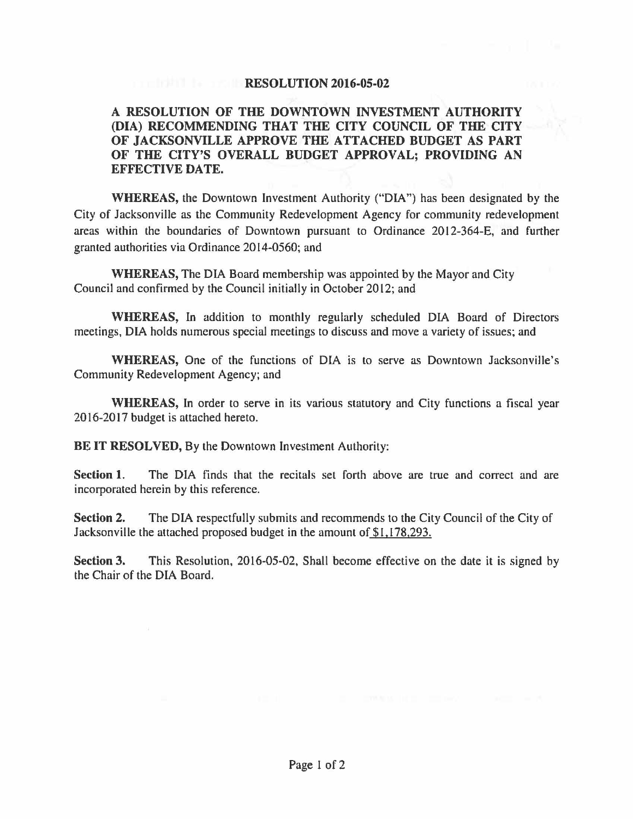## **RESOLUTION 2016-05-02**

## **A RESOLUTION OF THE DOWNTOWN INVESTMENT AUTHORITY (DIA) RECOMMENDING THAT THE CITY COUNCIL OF THE CITY OF JACKSONVILLE APPROVE THE ATTACHED BUDGET AS PART OF THE CITY'S OVERALL BUDGET APPROVAL; PROVIDING AN EFFECTIVE DATE.**

**WHEREAS,** the Downtown Investment Authority ("DIA") has been designated by the City of Jacksonville as the Community Redevelopment Agency for community redevelopment areas within the boundaries of Downtown pursuant to Ordinance 2012-364-E, and further granted authorities via Ordinance 2014-0560; and

**WHEREAS,** The DIA Board membership was appointed by the Mayor and City Council and confirmed by the Council initially in October 2012; and

**WHEREAS,** In addition to monthly regularly scheduled DIA Board of Directors meetings, DIA holds numerous special meetings to discuss and move a variety of issues; and

**WHEREAS,** One of the functions of DIA is to serve as Downtown Jacksonville's Community Redevelopment Agency; and

**WHEREAS,** In order to serve in its various statutory and City functions a fiscal year 2016-2017 budget is attached hereto.

**BE IT RESOLVED,** By the Downtown Investment Authority:

Section 1. The DIA finds that the recitals set forth above are true and correct and are incorporated herein by this reference.

**Section 2.** The DIA respectfully submits and recommends to the City Council of the City of Jacksonville the attached proposed budget in the amount of \$1.178.293.

**Section 3.** This Resolution, 2016-05-02, Shall become effective on the date it is signed by the Chair of the DIA Board.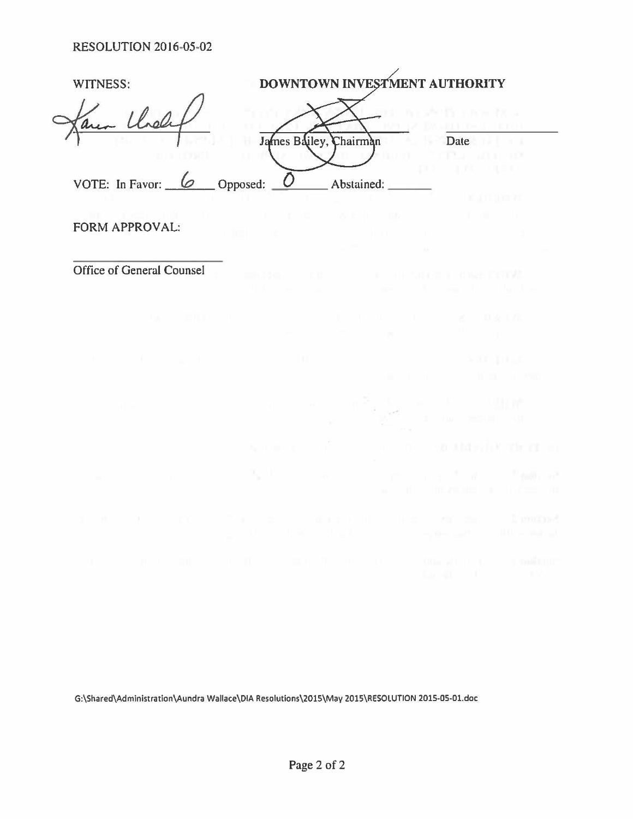| WITNESS:            | DOWNTOWN INVESTMENT AUTHORITY |      |  |
|---------------------|-------------------------------|------|--|
| a area Chales       |                               |      |  |
|                     | James Bailey, Chairman        | Date |  |
|                     |                               |      |  |
| VOTE: In Favor: $6$ | Opposed:<br>Abstained:        |      |  |
|                     |                               |      |  |

FORM APPROVAL:

Office of General Counsel

G:\Shared\Administration\Aundra Wallace\DIA Resolutions\2015\May 2015\RESOLUTION 2015-05-01.doc